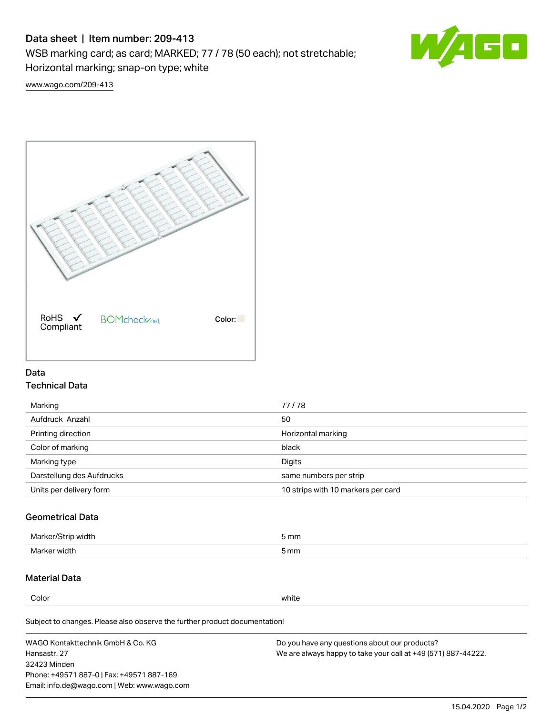# Data sheet | Item number: 209-413

WSB marking card; as card; MARKED; 77 / 78 (50 each); not stretchable;

Horizontal marking; snap-on type; white



[www.wago.com/209-413](http://www.wago.com/209-413)



### Data Technical Data

| Marking                   | 77/78                              |
|---------------------------|------------------------------------|
| Aufdruck Anzahl           | 50                                 |
| Printing direction        | Horizontal marking                 |
| Color of marking          | black                              |
| Marking type              | Digits                             |
| Darstellung des Aufdrucks | same numbers per strip             |
| Units per delivery form   | 10 strips with 10 markers per card |

## Geometrical Data

| Marker/Strip width | 5 mm |
|--------------------|------|
| Marker width       | 5 mm |

### Material Data

Color white

Subject to changes. Please also observe the further product documentation!

WAGO Kontakttechnik GmbH & Co. KG Hansastr. 27 32423 Minden Phone: +49571 887-0 | Fax: +49571 887-169 Email: info.de@wago.com | Web: www.wago.com Do you have any questions about our products? We are always happy to take your call at +49 (571) 887-44222.